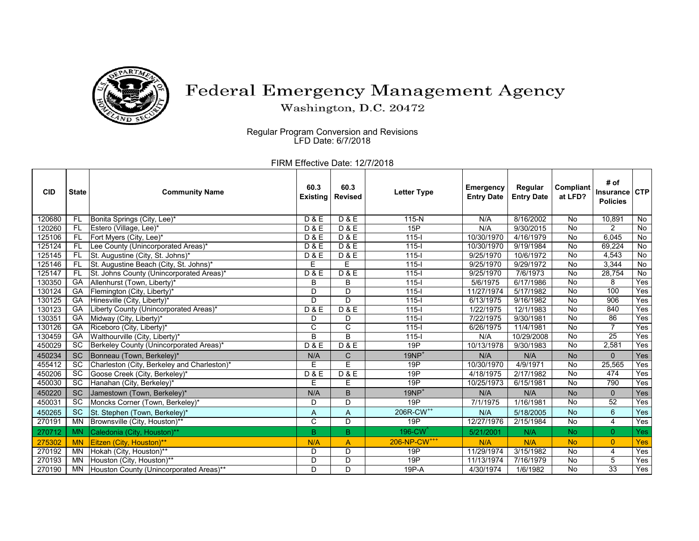

## Federal Emergency Management Agency

Washington, D.C. 20472

Regular Program Conversion and Revisions LFD Date: 6/7/2018

FIRM Effective Date: 12/7/2018

| <b>CID</b> | <b>State</b> | <b>Community Name</b>                       | 60.3<br><b>Existing</b> | 60.3<br><b>Revised</b> | <b>Letter Type</b>       | <b>Emergency</b><br><b>Entry Date</b> | Regular<br><b>Entry Date</b> | Compliant<br>at LFD? | # of<br>Insurance CTP<br><b>Policies</b> |                |
|------------|--------------|---------------------------------------------|-------------------------|------------------------|--------------------------|---------------------------------------|------------------------------|----------------------|------------------------------------------|----------------|
| 120680     | FL           | Bonita Springs (City, Lee)*                 | <b>D&amp;E</b>          | <b>D&amp;E</b>         | 115-N                    | N/A                                   | 8/16/2002                    | No                   | 10,891                                   | No             |
| 120260     | FL           | Estero (Village, Lee)*                      | <b>D&amp;E</b>          | <b>D&amp;E</b>         | 15P                      | N/A                                   | 9/30/2015                    | No                   | 2                                        | No             |
| 125106     | <b>FL</b>    | Fort Myers (City, Lee)*                     | <b>D&amp;E</b>          | <b>D&amp;E</b>         | $115 -$                  | 10/30/1970                            | 4/16/1979                    | No                   | 6,045                                    | No             |
| 125124     | <b>FL</b>    | Lee County (Unincorporated Areas)*          | <b>D&amp;E</b>          | <b>D&amp;E</b>         | $115 -$                  | 10/30/1970                            | 9/19/1984                    | No                   | 69,224                                   | No             |
| 125145     | FL           | St. Augustine (City, St. Johns)*            | <b>D&amp;E</b>          | <b>D&amp;E</b>         | $115 -$                  | 9/25/1970                             | 10/6/1972                    | No                   | 4.543                                    | $\overline{N}$ |
| 125146     | FL           | St. Augustine Beach (City, St. Johns)*      | E                       | E                      | $115 -$                  | 9/25/1970                             | 9/29/1972                    | No                   | 3,344                                    | No             |
| 125147     | FL           | St. Johns County (Unincorporated Areas)*    | <b>D&amp;E</b>          | <b>D&amp;E</b>         | $115 -$                  | 9/25/1970                             | 7/6/1973                     | <b>No</b>            | 28,754                                   | No             |
| 130350     | GA           | Allenhurst (Town, Liberty)*                 | В                       | B                      | $115 -$                  | 5/6/1975                              | 6/17/1986                    | No                   | 8                                        | Yes            |
| 130124     | GA           | Flemington (City, Liberty)*                 | D                       | D                      | $115 -$                  | 11/27/1974                            | 5/17/1982                    | <b>No</b>            | 100                                      | Yes            |
| 130125     | GA           | Hinesville (City, Liberty)*                 | D                       | D                      | $115 -$                  | 6/13/1975                             | 9/16/1982                    | <b>No</b>            | 906                                      | Yes            |
| 130123     | GA           | Liberty County (Unincorporated Areas)*      | <b>D&amp;E</b>          | <b>D&amp;E</b>         | $115 -$                  | 1/22/1975                             | 12/1/1983                    | No                   | 840                                      | Yes            |
| 130351     | GA           | Midway (City, Liberty)*                     | D                       | D                      | $115 -$                  | 7/22/1975                             | 9/30/1981                    | No                   | 86                                       | Yes            |
| 130126     | GA           | Riceboro (City, Liberty)*                   | C                       | C                      | $115 -$                  | 6/26/1975                             | 11/4/1981                    | <b>No</b>            | $\overline{7}$                           | Yes            |
| 130459     | GA           | Walthourville (City, Liberty)*              | B                       | B                      | $115 -$                  | N/A                                   | 10/29/2008                   | No                   | $\overline{25}$                          | Yes            |
| 450029     | <b>SC</b>    | Berkeley County (Unincorporated Areas)*     | <b>D&amp;E</b>          | <b>D&amp;E</b>         | 19P                      | 10/13/1978                            | 9/30/1983                    | No                   | 2,581                                    | Yes            |
| 450234     | <b>SC</b>    | Bonneau (Town, Berkeley)*                   | N/A                     | C                      | $19NP+$                  | N/A                                   | N/A                          | <b>No</b>            | $\Omega$                                 | Yes            |
| 455412     | <b>SC</b>    | Charleston (City, Berkeley and Charleston)* | E                       | Ē                      | 19P                      | 10/30/1970                            | 4/9/1971                     | No                   | 25,565                                   | Yes            |
| 450206     | <b>SC</b>    | Goose Creek (City, Berkeley)*               | <b>D&amp;E</b>          | <b>D&amp;E</b>         | 19P                      | 4/18/1975                             | 2/17/1982                    | <b>No</b>            | 474                                      | Yes            |
| 450030     | <b>SC</b>    | Hanahan (City, Berkeley)*                   | E                       | E                      | 19P                      | 10/25/1973                            | 6/15/1981                    | No                   | 790                                      | Yes            |
| 450220     | <b>SC</b>    | Jamestown (Town, Berkeley)*                 | N/A                     | B                      | $19NP+$                  | N/A                                   | N/A                          | <b>No</b>            | $\overline{0}$                           | Yes            |
| 450031     | <b>SC</b>    | Moncks Corner (Town, Berkeley)*             | D                       | D                      | 19P                      | 7/1/1975                              | 1/16/1981                    | No                   | $\overline{52}$                          | Yes            |
| 450265     | <b>SC</b>    | St. Stephen (Town, Berkeley)*               | A                       | A                      | 206R-CW <sup>++</sup>    | N/A                                   | 5/18/2005                    | <b>No</b>            | 6                                        | Yes            |
| 270191     | <b>MN</b>    | Brownsville (City, Houston)**               | C                       | $\overline{D}$         | 19P                      | 12/27/1976                            | 2/15/1984                    | <b>No</b>            | 4                                        | Yes            |
| 270712     | <b>MN</b>    | Caledonia (City, Houston)**                 | B.                      | B.                     | 196-CW <sup>^</sup>      | 5/21/2001                             | N/A                          | No.                  | $\overline{0}$                           | Yes            |
| 275302     | <b>MN</b>    | Eitzen (City, Houston)**                    | N/A                     | A                      | 206-NP-CW <sup>+++</sup> | N/A                                   | N/A                          | <b>No</b>            | $\overline{0}$                           | <b>Yes</b>     |
| 270192     | <b>MN</b>    | Hokah (City, Houston)**                     | D                       | D                      | 19P                      | 11/29/1974                            | 3/15/1982                    | No                   | 4                                        | Yes            |
| 270193     | MN           | Houston (City, Houston)**                   | D                       | D                      | 19P                      | 11/13/1974                            | 7/16/1979                    | No                   | 5                                        | Yes            |
| 270190     | MN           | Houston County (Unincorporated Areas)**     | D                       | D                      | 19P-A                    | 4/30/1974                             | 1/6/1982                     | No                   | 33                                       | Yes            |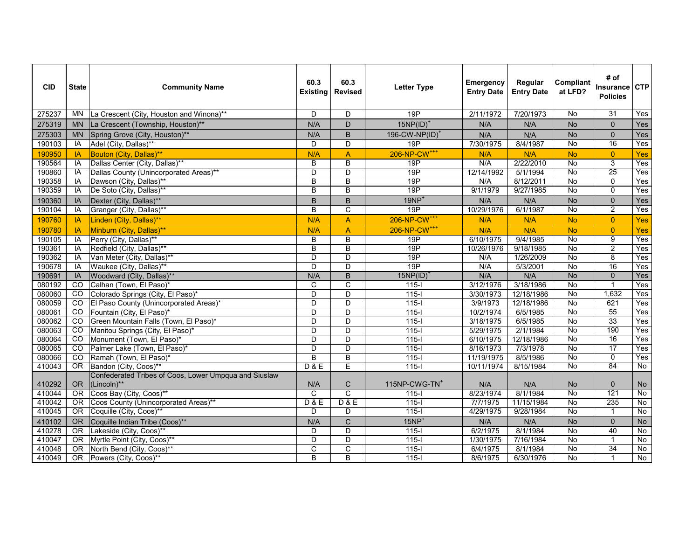| <b>CID</b> | <b>State</b>   | <b>Community Name</b>                                                | 60.3<br><b>Existing</b> | 60.3<br><b>Revised</b>  | <b>Letter Type</b>         | <b>Emergency</b><br><b>Entry Date</b> | Regular<br><b>Entry Date</b> | Compliant<br>at LFD? | # of<br>Insurance CTP<br><b>Policies</b> |                |
|------------|----------------|----------------------------------------------------------------------|-------------------------|-------------------------|----------------------------|---------------------------------------|------------------------------|----------------------|------------------------------------------|----------------|
| 275237     | ΜN             | La Crescent (City, Houston and Winona)**                             | D                       | D                       | 19P                        | 2/11/1972                             | 7/20/1973                    | No                   | 31                                       | Yes            |
| 275319     | <b>MN</b>      | La Crescent (Township, Houston)**                                    | N/A                     | D                       | $15NP(ID)^+$               | N/A                                   | N/A                          | <b>No</b>            | $\mathbf{0}$                             | Yes            |
| 275303     | <b>MN</b>      | Spring Grove (City, Houston)**                                       | N/A                     | $\sf B$                 | 196-CW-NP(ID) <sup>+</sup> | N/A                                   | N/A                          | <b>No</b>            | $\mathbf{0}$                             | Yes            |
| 190103     | IA             | Adel (City, Dallas)**                                                | D                       | D                       | 19P                        | 7/30/1975                             | 8/4/1987                     | $\overline{N}$       | 16                                       | Yes            |
| 190950     | IA             | Bouton (City, Dallas)**                                              | N/A                     | $\overline{\mathsf{A}}$ | 206-NP-CW <sup>+++</sup>   | N/A                                   | N/A                          | <b>No</b>            | $\overline{0}$                           | Yes            |
| 190564     | IA             | Dallas Center (City, Dallas)**                                       | B                       | $\overline{B}$          | 19P                        | N/A                                   | 2/22/2010                    | <b>No</b>            | 3                                        | Yes            |
| 190860     | IA             | Dallas County (Unincorporated Areas)**                               | D                       | D                       | 19P                        | 12/14/1992                            | 5/1/1994                     | $\overline{N}$       | 25                                       | Yes            |
| 190358     | IA             | Dawson (City, Dallas)**                                              | B                       | B                       | 19P                        | N/A                                   | 8/12/2011                    | $\overline{N}$       | $\mathbf 0$                              | Yes            |
| 190359     | IA             | De Soto (City, Dallas)**                                             | B                       | $\overline{B}$          | 19P                        | 9/1/1979                              | 9/27/1985                    | $\overline{N}$       | $\overline{0}$                           | Yes            |
| 190360     | IA             | Dexter (City, Dallas)**                                              | B                       | B                       | $19NP+$                    | N/A                                   | N/A                          | <b>No</b>            | $\Omega$                                 | Yes            |
| 190104     | IA             | Granger (City, Dallas)**                                             | B                       | C                       | 19P                        | 10/29/1976                            | 6/1/1987                     | <b>No</b>            | $\overline{2}$                           | Yes            |
| 190760     | IA             | Linden (City, Dallas)**                                              | N/A                     | A                       | 206-NP-CW <sup>+++</sup>   | N/A                                   | N/A                          | <b>No</b>            | $\overline{0}$                           | Yes            |
| 190780     | IA             | Minburn (City, Dallas)**                                             | N/A                     | $\mathsf A$             | 206-NP-CW <sup>+++</sup>   | N/A                                   | N/A                          | <b>No</b>            | $\overline{0}$                           | Yes            |
| 190105     | IA             | Perry (City, Dallas)**                                               | B                       | $\overline{B}$          | 19P                        | 6/10/1975                             | 9/4/1985                     | <b>No</b>            | 9                                        | Yes            |
| 190361     | IA             | Redfield (City, Dallas)**                                            | $\overline{\mathsf{B}}$ | $\overline{B}$          | 19P                        | 10/26/1976                            | 9/18/1985                    | No                   | $\overline{2}$                           | Yes            |
| 190362     | IA             | Van Meter (City, Dallas)**                                           | D                       | D                       | 19P                        | N/A                                   | 1/26/2009                    | $\overline{N}$       | $\overline{8}$                           | Yes            |
| 190678     | IA             | Waukee (City, Dallas)**                                              | D                       | $\overline{\mathsf{D}}$ | 19P                        | N/A                                   | 5/3/2001                     | $\overline{N}$       | 16                                       | Yes            |
| 190691     | IA             | Woodward (City, Dallas)**                                            | N/A                     | $\overline{B}$          | 15NP(ID)                   | N/A                                   | N/A                          | <b>No</b>            | $\overline{0}$                           | Yes            |
| 080192     | $\overline{c}$ | Calhan (Town, El Paso)*                                              | $\mathsf{C}$            | $\overline{\text{c}}$   | $115 -$                    | 3/12/1976                             | 3/18/1986                    | $\overline{N}$       | $\mathbf 1$                              | Yes            |
| 080060     | $\overline{c}$ | Colorado Springs (City, El Paso)*                                    | D                       | $\overline{\mathsf{D}}$ | $115 -$                    | 3/30/1973                             | 12/18/1986                   | $\overline{N}$       | 1,632                                    | Yes            |
| 080059     | $\overline{c}$ | El Paso County (Unincorporated Areas)*                               | D                       | $\overline{\mathsf{D}}$ | $115 -$                    | 3/9/1973                              | 12/18/1986                   | <b>No</b>            | 621                                      | Yes            |
| 080061     | $\overline{c}$ | Fountain (City, El Paso)'                                            | D                       | $\overline{\mathsf{D}}$ | $115 -$                    | 10/2/1974                             | 6/5/1985                     | No                   | 55                                       | Yes            |
| 080062     | CO             | Green Mountain Falls (Town, El Paso)*                                | D                       | D                       | $115 -$                    | 3/18/1975                             | 6/5/1985                     | No                   | 33                                       | Yes            |
| 080063     | $\overline{c}$ | Manitou Springs (City, El Paso)*                                     | D                       | $\overline{D}$          | $115 -$                    | 5/29/1975                             | 2/1/1984                     | $\overline{N}$       | 190                                      | Yes            |
| 080064     | $\overline{c}$ | Monument (Town, El Paso)*                                            | $\overline{D}$          | $\overline{D}$          | $115 -$                    | 6/10/1975                             | 12/18/1986                   | No                   | 16                                       | Yes            |
| 080065     | $\overline{c}$ | Palmer Lake (Town, El Paso)*                                         | D                       | D                       | $115 -$                    | 8/16/1973                             | 7/3/1978                     | $\overline{N}$       | 17                                       | Yes            |
| 080066     | CO             | Ramah (Town, El Paso)*                                               | $\overline{B}$          | $\overline{\mathsf{B}}$ | $115 -$                    | 11/19/1975                            | 8/5/1986                     | <b>No</b>            | $\overline{0}$                           | Yes            |
| 410043     | <b>OR</b>      | Bandon (City, Coos)**                                                | D & E                   | $\overline{\mathsf{E}}$ | $115 -$                    | 10/11/1974                            | 8/15/1984                    | $\overline{N}$       | 84                                       | No             |
| 410292     | <b>OR</b>      | Confederated Tribes of Coos, Lower Umpqua and Siuslaw<br>(Lincoln)** | N/A                     | $\mathsf C$             | 115NP-CWG-TN <sup>+</sup>  | N/A                                   | N/A                          | <b>No</b>            | 0                                        | No             |
| 410044     | <b>OR</b>      | Coos Bay (City, Coos)**                                              | C                       | $\overline{\text{c}}$   | $115 -$                    | 8/23/1974                             | 8/1/1984                     | No                   | $\overline{121}$                         | $\overline{N}$ |
| 410042     | <b>OR</b>      | Coos County (Unincorporated Areas)**                                 | D & E                   | D & E                   | $115 -$                    | 7/7/1975                              | 11/15/1984                   | <b>No</b>            | 235                                      | $\overline{N}$ |
| 410045     | <b>OR</b>      | Coquille (City, Coos)**                                              | D                       | D                       | $115 -$                    | 4/29/1975                             | 9/28/1984                    | No                   |                                          | No             |
| 410102     | <b>OR</b>      | Coquille Indian Tribe (Coos)**                                       | N/A                     | $\mathsf C$             | $15NP+$                    | N/A                                   | N/A                          | No                   | $\mathbf{0}$                             | No             |
| 410278     | <b>OR</b>      | Lakeside (City, Coos)**                                              | D                       | D                       | $115 -$                    | 6/2/1975                              | 8/1/1984                     | $\overline{N}$       | 40                                       | $\overline{N}$ |
| 410047     | <b>OR</b>      | Myrtle Point (City, Coos)**                                          | D                       | $\overline{\mathsf{D}}$ | $115 -$                    | 1/30/1975                             | 7/16/1984                    | $\overline{N}$       | $\mathbf{1}$                             | $\overline{N}$ |
| 410048     | <b>OR</b>      | North Bend (City, Coos)**                                            | C                       | $\overline{\text{c}}$   | $115 -$                    | 6/4/1975                              | 8/1/1984                     | $\overline{N}$       | 34                                       | No             |
| 410049     | OR             | Powers (City, Coos)**                                                | $\overline{B}$          | $\overline{\mathsf{B}}$ | $115 -$                    | 8/6/1975                              | 6/30/1976                    | <b>No</b>            |                                          | No             |